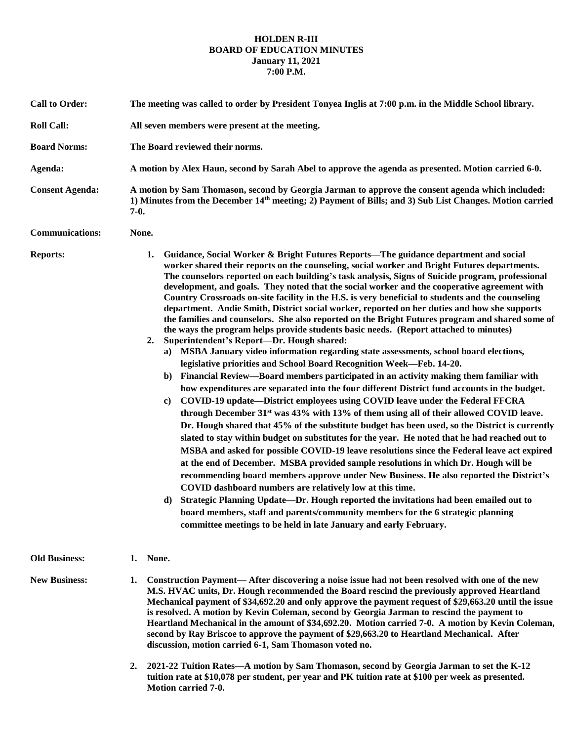## **HOLDEN R-III BOARD OF EDUCATION MINUTES January 11, 2021 7:00 P.M.**

| <b>Call to Order:</b>  | The meeting was called to order by President Tonyea Inglis at 7:00 p.m. in the Middle School library.                                                                                                                                                                                                                                                                                                                                                                                                                                                                                                                                                                                                                                                                                                                                                                                                                                                                                                                                                                                                                                                                                                                                                                                                                                                                                                                                                                                                                                                                                                                                                                                                                                                                                                                                                                                                                                                                                                                                                                                                                                                                                                                    |
|------------------------|--------------------------------------------------------------------------------------------------------------------------------------------------------------------------------------------------------------------------------------------------------------------------------------------------------------------------------------------------------------------------------------------------------------------------------------------------------------------------------------------------------------------------------------------------------------------------------------------------------------------------------------------------------------------------------------------------------------------------------------------------------------------------------------------------------------------------------------------------------------------------------------------------------------------------------------------------------------------------------------------------------------------------------------------------------------------------------------------------------------------------------------------------------------------------------------------------------------------------------------------------------------------------------------------------------------------------------------------------------------------------------------------------------------------------------------------------------------------------------------------------------------------------------------------------------------------------------------------------------------------------------------------------------------------------------------------------------------------------------------------------------------------------------------------------------------------------------------------------------------------------------------------------------------------------------------------------------------------------------------------------------------------------------------------------------------------------------------------------------------------------------------------------------------------------------------------------------------------------|
| <b>Roll Call:</b>      | All seven members were present at the meeting.                                                                                                                                                                                                                                                                                                                                                                                                                                                                                                                                                                                                                                                                                                                                                                                                                                                                                                                                                                                                                                                                                                                                                                                                                                                                                                                                                                                                                                                                                                                                                                                                                                                                                                                                                                                                                                                                                                                                                                                                                                                                                                                                                                           |
| <b>Board Norms:</b>    | The Board reviewed their norms.                                                                                                                                                                                                                                                                                                                                                                                                                                                                                                                                                                                                                                                                                                                                                                                                                                                                                                                                                                                                                                                                                                                                                                                                                                                                                                                                                                                                                                                                                                                                                                                                                                                                                                                                                                                                                                                                                                                                                                                                                                                                                                                                                                                          |
| Agenda:                | A motion by Alex Haun, second by Sarah Abel to approve the agenda as presented. Motion carried 6-0.                                                                                                                                                                                                                                                                                                                                                                                                                                                                                                                                                                                                                                                                                                                                                                                                                                                                                                                                                                                                                                                                                                                                                                                                                                                                                                                                                                                                                                                                                                                                                                                                                                                                                                                                                                                                                                                                                                                                                                                                                                                                                                                      |
| <b>Consent Agenda:</b> | A motion by Sam Thomason, second by Georgia Jarman to approve the consent agenda which included:<br>1) Minutes from the December 14 <sup>th</sup> meeting; 2) Payment of Bills; and 3) Sub List Changes. Motion carried<br>$7-0.$                                                                                                                                                                                                                                                                                                                                                                                                                                                                                                                                                                                                                                                                                                                                                                                                                                                                                                                                                                                                                                                                                                                                                                                                                                                                                                                                                                                                                                                                                                                                                                                                                                                                                                                                                                                                                                                                                                                                                                                        |
| <b>Communications:</b> | None.                                                                                                                                                                                                                                                                                                                                                                                                                                                                                                                                                                                                                                                                                                                                                                                                                                                                                                                                                                                                                                                                                                                                                                                                                                                                                                                                                                                                                                                                                                                                                                                                                                                                                                                                                                                                                                                                                                                                                                                                                                                                                                                                                                                                                    |
| <b>Reports:</b>        | Guidance, Social Worker & Bright Futures Reports—The guidance department and social<br>1.<br>worker shared their reports on the counseling, social worker and Bright Futures departments.<br>The counselors reported on each building's task analysis, Signs of Suicide program, professional<br>development, and goals. They noted that the social worker and the cooperative agreement with<br>Country Crossroads on-site facility in the H.S. is very beneficial to students and the counseling<br>department. Andie Smith, District social worker, reported on her duties and how she supports<br>the families and counselors. She also reported on the Bright Futures program and shared some of<br>the ways the program helps provide students basic needs. (Report attached to minutes)<br>Superintendent's Report-Dr. Hough shared:<br>2.<br>a) MSBA January video information regarding state assessments, school board elections,<br>legislative priorities and School Board Recognition Week-Feb. 14-20.<br>b) Financial Review—Board members participated in an activity making them familiar with<br>how expenditures are separated into the four different District fund accounts in the budget.<br>COVID-19 update—District employees using COVID leave under the Federal FFCRA<br>$\mathbf{c}$<br>through December 31 <sup>st</sup> was 43% with 13% of them using all of their allowed COVID leave.<br>Dr. Hough shared that 45% of the substitute budget has been used, so the District is currently<br>slated to stay within budget on substitutes for the year. He noted that he had reached out to<br>MSBA and asked for possible COVID-19 leave resolutions since the Federal leave act expired<br>at the end of December. MSBA provided sample resolutions in which Dr. Hough will be<br>recommending board members approve under New Business. He also reported the District's<br>COVID dashboard numbers are relatively low at this time.<br>Strategic Planning Update—Dr. Hough reported the invitations had been emailed out to<br>d)<br>board members, staff and parents/community members for the 6 strategic planning<br>committee meetings to be held in late January and early February. |
| <b>Old Business:</b>   | 1. None.                                                                                                                                                                                                                                                                                                                                                                                                                                                                                                                                                                                                                                                                                                                                                                                                                                                                                                                                                                                                                                                                                                                                                                                                                                                                                                                                                                                                                                                                                                                                                                                                                                                                                                                                                                                                                                                                                                                                                                                                                                                                                                                                                                                                                 |
| <b>New Business:</b>   | Construction Payment— After discovering a noise issue had not been resolved with one of the new<br>1.<br>M.S. HVAC units, Dr. Hough recommended the Board rescind the previously approved Heartland<br>Mechanical payment of \$34,692.20 and only approve the payment request of \$29,663.20 until the issue<br>is resolved. A motion by Kevin Coleman, second by Georgia Jarman to rescind the payment to<br>Heartland Mechanical in the amount of \$34,692.20. Motion carried 7-0. A motion by Kevin Coleman,<br>second by Ray Briscoe to approve the payment of \$29,663.20 to Heartland Mechanical. After<br>discussion, motion carried 6-1, Sam Thomason voted no.                                                                                                                                                                                                                                                                                                                                                                                                                                                                                                                                                                                                                                                                                                                                                                                                                                                                                                                                                                                                                                                                                                                                                                                                                                                                                                                                                                                                                                                                                                                                                  |
|                        | 2021-22 Tuition Rates—A motion by Sam Thomason, second by Georgia Jarman to set the K-12<br>2.<br>tuition rate at \$10,078 per student, per year and PK tuition rate at \$100 per week as presented.                                                                                                                                                                                                                                                                                                                                                                                                                                                                                                                                                                                                                                                                                                                                                                                                                                                                                                                                                                                                                                                                                                                                                                                                                                                                                                                                                                                                                                                                                                                                                                                                                                                                                                                                                                                                                                                                                                                                                                                                                     |

**Motion carried 7-0.**